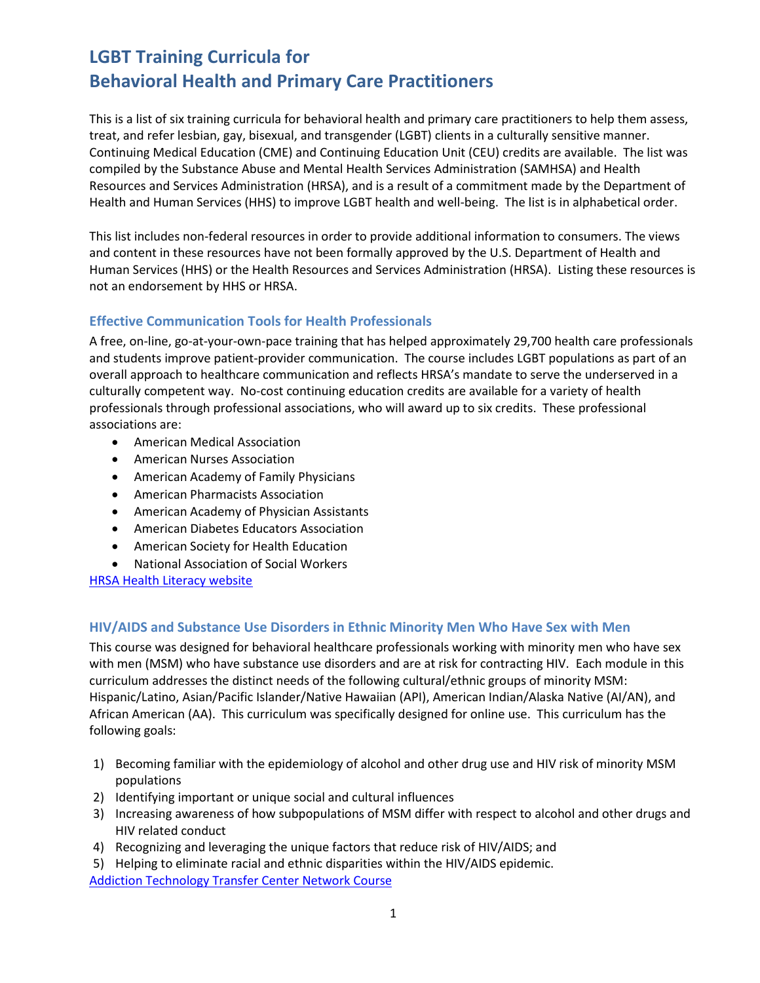# **LGBT Training Curricula for Behavioral Health and Primary Care Practitioners**

This is a list of six training curricula for behavioral health and primary care practitioners to help them assess, treat, and refer lesbian, gay, bisexual, and transgender (LGBT) clients in a culturally sensitive manner. Continuing Medical Education (CME) and Continuing Education Unit (CEU) credits are available. The list was compiled by the Substance Abuse and Mental Health Services Administration (SAMHSA) and Health Resources and Services Administration (HRSA), and is a result of a commitment made by the Department of Health and Human Services (HHS) to improve LGBT health and well-being. The list is in alphabetical order.

This list includes non-federal resources in order to provide additional information to consumers. The views and content in these resources have not been formally approved by the U.S. Department of Health and Human Services (HHS) or the Health Resources and Services Administration (HRSA). Listing these resources is not an endorsement by HHS or HRSA.

## **Effective Communication Tools for Health Professionals**

A free, on-line, go-at-your-own-pace training that has helped approximately 29,700 health care professionals and students improve patient-provider communication. The course includes LGBT populations as part of an overall approach to healthcare communication and reflects HRSA's mandate to serve the underserved in a culturally competent way. No-cost continuing education credits are available for a variety of health professionals through professional associations, who will award up to six credits. These professional associations are:

- American Medical Association
- American Nurses Association
- American Academy of Family Physicians
- American Pharmacists Association
- American Academy of Physician Assistants
- American Diabetes Educators Association
- American Society for Health Education
- National Association of Social Workers

[HRSA Health Literacy website](http://www.hrsa.gov/publichealth/healthliteracy/index.html)

### **HIV/AIDS and Substance Use Disorders in Ethnic Minority Men Who Have Sex with Men**

This course was designed for behavioral healthcare professionals working with minority men who have sex with men (MSM) who have substance use disorders and are at risk for contracting HIV. Each module in this curriculum addresses the distinct needs of the following cultural/ethnic groups of minority MSM: Hispanic/Latino, Asian/Pacific Islander/Native Hawaiian (API), American Indian/Alaska Native (AI/AN), and African American (AA). This curriculum was specifically designed for online use. This curriculum has the following goals:

- 1) Becoming familiar with the epidemiology of alcohol and other drug use and HIV risk of minority MSM populations
- 2) Identifying important or unique social and cultural influences
- 3) Increasing awareness of how subpopulations of MSM differ with respect to alcohol and other drugs and HIV related conduct
- 4) Recognizing and leveraging the unique factors that reduce risk of HIV/AIDS; and
- 5) Helping to eliminate racial and ethnic disparities within the HIV/AIDS epidemic. [Addiction Technology Transfer Center Network](http://www.attcnetwork.org/2010NetworkDirectors/docs/Directors/ATTC%20MSM%20Online%20Course.pdf) Course